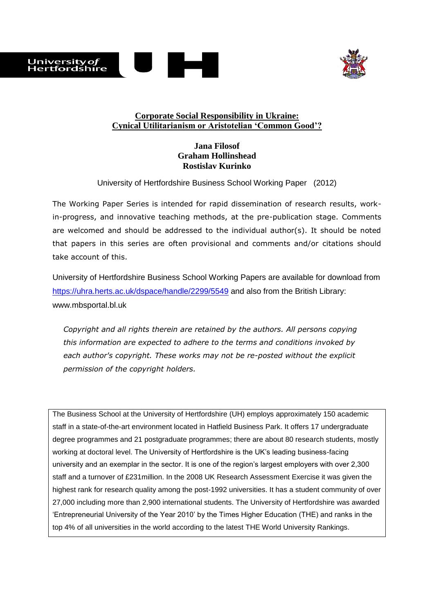



# **Corporate Social Responsibility in Ukraine: Cynical Utilitarianism or Aristotelian 'Common Good'?**

# **Jana Filosof Graham Hollinshead Rostislav Kurinko**

University of Hertfordshire Business School Working Paper (2012)

The Working Paper Series is intended for rapid dissemination of research results, workin-progress, and innovative teaching methods, at the pre-publication stage. Comments are welcomed and should be addressed to the individual author(s). It should be noted that papers in this series are often provisional and comments and/or citations should take account of this.

University of Hertfordshire Business School Working Papers are available for download from <https://uhra.herts.ac.uk/dspace/handle/2299/5549> and also from the British Library: [www.mbsportal.bl.uk](http://www.mbsportal.bl.uk/)

*Copyright and all rights therein are retained by the authors. All persons copying this information are expected to adhere to the terms and conditions invoked by each author's copyright. These works may not be re-posted without the explicit permission of the copyright holders.*

The Business School at the University of Hertfordshire (UH) employs approximately 150 academic staff in a state-of-the-art environment located in Hatfield Business Park. It offers 17 undergraduate degree programmes and 21 postgraduate programmes; there are about 80 research students, mostly working at doctoral level. The University of Hertfordshire is the UK's leading business-facing university and an exemplar in the sector. It is one of the region's largest employers with over 2,300 staff and a turnover of £231million. In the 2008 UK Research Assessment Exercise it was given the highest rank for research quality among the post-1992 universities. It has a student community of over 27,000 including more than 2,900 international students. The University of Hertfordshire was awarded 'Entrepreneurial University of the Year 2010' by the Times Higher Education (THE) and ranks in the top 4% of all universities in the world according to the latest THE World University Rankings.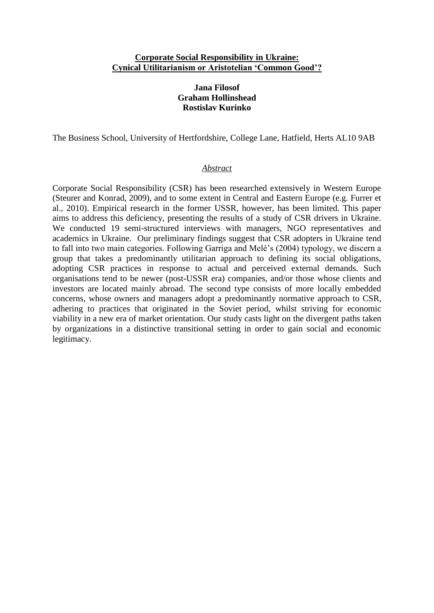### **Corporate Social Responsibility in Ukraine: Cynical Utilitarianism or Aristotelian 'Common Good'?**

# **Jana Filosof Graham Hollinshead Rostislav Kurinko**

The Business School, University of Hertfordshire, College Lane, Hatfield, Herts AL10 9AB

### *Abstract*

Corporate Social Responsibility (CSR) has been researched extensively in Western Europe (Steurer and Konrad, 2009), and to some extent in Central and Eastern Europe (e.g. Furrer et al., 2010). Empirical research in the former USSR, however, has been limited. This paper aims to address this deficiency, presenting the results of a study of CSR drivers in Ukraine. We conducted 19 semi-structured interviews with managers. NGO representatives and academics in Ukraine. Our preliminary findings suggest that CSR adopters in Ukraine tend to fall into two main categories. Following Garriga and Melé's (2004) typology, we discern a group that takes a predominantly utilitarian approach to defining its social obligations, adopting CSR practices in response to actual and perceived external demands. Such organisations tend to be newer (post-USSR era) companies, and/or those whose clients and investors are located mainly abroad. The second type consists of more locally embedded concerns, whose owners and managers adopt a predominantly normative approach to CSR, adhering to practices that originated in the Soviet period, whilst striving for economic viability in a new era of market orientation. Our study casts light on the divergent paths taken by organizations in a distinctive transitional setting in order to gain social and economic legitimacy.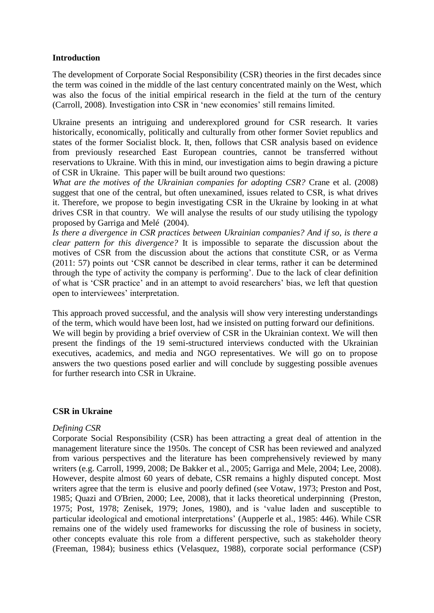# **Introduction**

The development of Corporate Social Responsibility (CSR) theories in the first decades since the term was coined in the middle of the last century concentrated mainly on the West, which was also the focus of the initial empirical research in the field at the turn of the century (Carroll, 2008). Investigation into CSR in 'new economies' still remains limited.

Ukraine presents an intriguing and underexplored ground for CSR research. It varies historically, economically, politically and culturally from other former Soviet republics and states of the former Socialist block. It, then, follows that CSR analysis based on evidence from previously researched East European countries, cannot be transferred without reservations to Ukraine. With this in mind, our investigation aims to begin drawing a picture of CSR in Ukraine. This paper will be built around two questions:

*What are the motives of the Ukrainian companies for adopting CSR?* Crane et al. (2008) suggest that one of the central, but often unexamined, issues related to CSR, is what drives it. Therefore, we propose to begin investigating CSR in the Ukraine by looking in at what drives CSR in that country. We will analyse the results of our study utilising the typology proposed by Garriga and Melé (2004).

*Is there a divergence in CSR practices between Ukrainian companies? And if so, is there a clear pattern for this divergence?* It is impossible to separate the discussion about the motives of CSR from the discussion about the actions that constitute CSR, or as Verma (2011: 57) points out 'CSR cannot be described in clear terms, rather it can be determined through the type of activity the company is performing'. Due to the lack of clear definition of what is 'CSR practice' and in an attempt to avoid researchers' bias, we left that question open to interviewees' interpretation.

This approach proved successful, and the analysis will show very interesting understandings of the term, which would have been lost, had we insisted on putting forward our definitions. We will begin by providing a brief overview of CSR in the Ukrainian context. We will then present the findings of the 19 semi-structured interviews conducted with the Ukrainian executives, academics, and media and NGO representatives. We will go on to propose answers the two questions posed earlier and will conclude by suggesting possible avenues for further research into CSR in Ukraine.

## **CSR in Ukraine**

## *Defining CSR*

Corporate Social Responsibility (CSR) has been attracting a great deal of attention in the management literature since the 1950s. The concept of CSR has been reviewed and analyzed from various perspectives and the literature has been comprehensively reviewed by many writers (e.g. Carroll, 1999, 2008; De Bakker et al., 2005; Garriga and Mele, 2004; Lee, 2008). However, despite almost 60 years of debate, CSR remains a highly disputed concept. Most writers agree that the term is elusive and poorly defined (see Votaw, 1973; Preston and Post, 1985; Quazi and O'Brien, 2000; Lee, 2008), that it lacks theoretical underpinning (Preston, 1975; Post, 1978; Zenisek, 1979; Jones, 1980), and is 'value laden and susceptible to particular ideological and emotional interpretations' (Aupperle et al., 1985: 446). While CSR remains one of the widely used frameworks for discussing the role of business in society, other concepts evaluate this role from a different perspective, such as stakeholder theory (Freeman, 1984); business ethics (Velasquez, 1988), corporate social performance (CSP)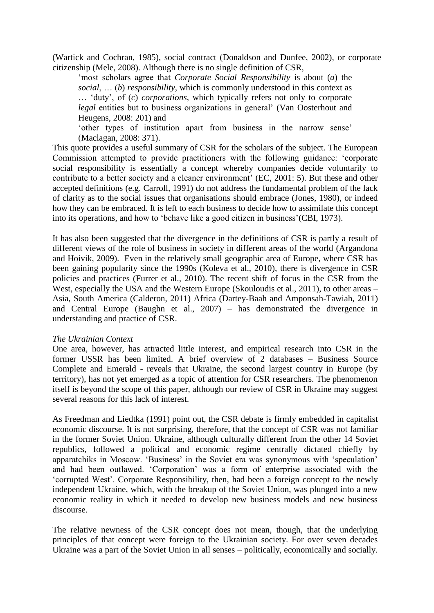(Wartick and Cochran, 1985), social contract (Donaldson and Dunfee, 2002), or corporate citizenship (Mele, 2008). Although there is no single definition of CSR,

'most scholars agree that *Corporate Social Responsibility* is about (*a*) the *social*, … (*b*) *responsibility*, which is commonly understood in this context as … 'duty', of (*c*) *corporations*, which typically refers not only to corporate *legal* entities but to business organizations in general' (Van Oosterhout and Heugens, 2008: 201) and

'other types of institution apart from business in the narrow sense' (Maclagan, 2008: 371).

This quote provides a useful summary of CSR for the scholars of the subject. The European Commission attempted to provide practitioners with the following guidance: 'corporate social responsibility is essentially a concept whereby companies decide voluntarily to contribute to a better society and a cleaner environment' (EC, 2001: 5). But these and other accepted definitions (e.g. Carroll, 1991) do not address the fundamental problem of the lack of clarity as to the social issues that organisations should embrace (Jones, 1980), or indeed how they can be embraced. It is left to each business to decide how to assimilate this concept into its operations, and how to 'behave like a good citizen in business'(CBI, 1973).

It has also been suggested that the divergence in the definitions of CSR is partly a result of different views of the role of business in society in different areas of the world (Argandona and Hoivik, 2009). Even in the relatively small geographic area of Europe, where CSR has been gaining popularity since the 1990s (Koleva et al., 2010), there is divergence in CSR policies and practices (Furrer et al., 2010). The recent shift of focus in the CSR from the West, especially the USA and the Western Europe (Skouloudis et al., 2011), to other areas – Asia, South America (Calderon, 2011) Africa (Dartey-Baah and Amponsah-Tawiah, 2011) and Central Europe (Baughn et al., 2007) – has demonstrated the divergence in understanding and practice of CSR.

### *The Ukrainian Context*

One area, however, has attracted little interest, and empirical research into CSR in the former USSR has been limited. A brief overview of 2 databases – Business Source Complete and Emerald - reveals that Ukraine, the second largest country in Europe (by territory), has not yet emerged as a topic of attention for CSR researchers. The phenomenon itself is beyond the scope of this paper, although our review of CSR in Ukraine may suggest several reasons for this lack of interest.

As Freedman and Liedtka (1991) point out, the CSR debate is firmly embedded in capitalist economic discourse. It is not surprising, therefore, that the concept of CSR was not familiar in the former Soviet Union. Ukraine, although culturally different from the other 14 Soviet republics, followed a political and economic regime centrally dictated chiefly by apparatchiks in Moscow. 'Business' in the Soviet era was synonymous with 'speculation' and had been outlawed. 'Corporation' was a form of enterprise associated with the 'corrupted West'. Corporate Responsibility, then, had been a foreign concept to the newly independent Ukraine, which, with the breakup of the Soviet Union, was plunged into a new economic reality in which it needed to develop new business models and new business discourse.

The relative newness of the CSR concept does not mean, though, that the underlying principles of that concept were foreign to the Ukrainian society. For over seven decades Ukraine was a part of the Soviet Union in all senses – politically, economically and socially.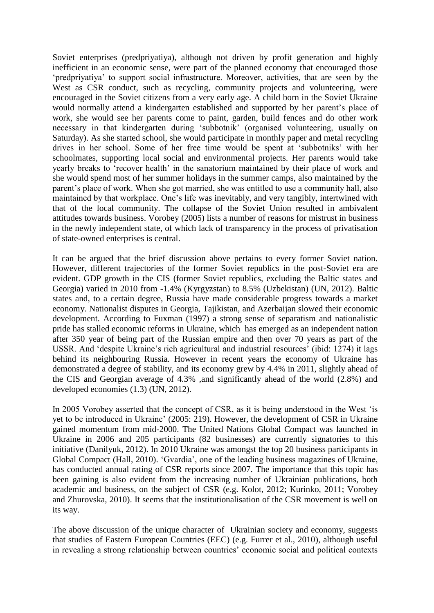Soviet enterprises (predpriyatiya), although not driven by profit generation and highly inefficient in an economic sense, were part of the planned economy that encouraged those 'predpriyatiya' to support social infrastructure. Moreover, activities, that are seen by the West as CSR conduct, such as recycling, community projects and volunteering, were encouraged in the Soviet citizens from a very early age. A child born in the Soviet Ukraine would normally attend a kindergarten established and supported by her parent's place of work, she would see her parents come to paint, garden, build fences and do other work necessary in that kindergarten during 'subbotnik' (organised volunteering, usually on Saturday). As she started school, she would participate in monthly paper and metal recycling drives in her school. Some of her free time would be spent at 'subbotniks' with her schoolmates, supporting local social and environmental projects. Her parents would take yearly breaks to 'recover health' in the sanatorium maintained by their place of work and she would spend most of her summer holidays in the summer camps, also maintained by the parent's place of work. When she got married, she was entitled to use a community hall, also maintained by that workplace. One's life was inevitably, and very tangibly, intertwined with that of the local community. The collapse of the Soviet Union resulted in ambivalent attitudes towards business. Vorobey (2005) lists a number of reasons for mistrust in business in the newly independent state, of which lack of transparency in the process of privatisation of state-owned enterprises is central.

It can be argued that the brief discussion above pertains to every former Soviet nation. However, different trajectories of the former Soviet republics in the post-Soviet era are evident. GDP growth in the CIS (former Soviet republics, excluding the Baltic states and Georgia) varied in 2010 from -1.4% (Kyrgyzstan) to 8.5% (Uzbekistan) (UN, 2012). Baltic states and, to a certain degree, Russia have made considerable progress towards a market economy. Nationalist disputes in Georgia, Tajikistan, and Azerbaijan slowed their economic development. According to Fuxman (1997) a strong sense of separatism and nationalistic pride has stalled economic reforms in Ukraine, which has emerged as an independent nation after 350 year of being part of the Russian empire and then over 70 years as part of the USSR. And 'despite Ukraine's rich agricultural and industrial resources' (ibid: 1274) it lags behind its neighbouring Russia. However in recent years the economy of Ukraine has demonstrated a degree of stability, and its economy grew by 4.4% in 2011, slightly ahead of the CIS and Georgian average of 4.3% ,and significantly ahead of the world (2.8%) and developed economies (1.3) (UN, 2012).

In 2005 Vorobey asserted that the concept of CSR, as it is being understood in the West 'is yet to be introduced in Ukraine' (2005: 219). However, the development of CSR in Ukraine gained momentum from mid-2000. The United Nations Global Compact was launched in Ukraine in 2006 and 205 participants (82 businesses) are currently signatories to this initiative (Danilyuk, 2012). In 2010 Ukraine was amongst the top 20 business participants in Global Compact (Hall, 2010). 'Gvardia', one of the leading business magazines of Ukraine, has conducted annual rating of CSR reports since 2007. The importance that this topic has been gaining is also evident from the increasing number of Ukrainian publications, both academic and business, on the subject of CSR (e.g. Kolot, 2012; Kurinko, 2011; Vorobey and Zhurovska, 2010). It seems that the institutionalisation of the CSR movement is well on its way.

The above discussion of the unique character of Ukrainian society and economy, suggests that studies of Eastern European Countries (EEC) (e.g. Furrer et al., 2010), although useful in revealing a strong relationship between countries' economic social and political contexts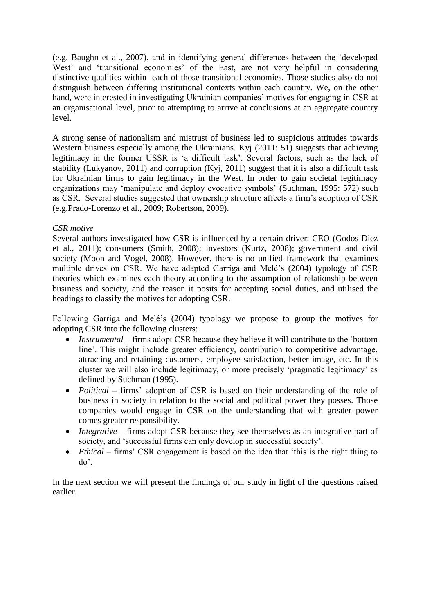(e.g. Baughn et al., 2007), and in identifying general differences between the 'developed West' and 'transitional economies' of the East, are not very helpful in considering distinctive qualities within each of those transitional economies. Those studies also do not distinguish between differing institutional contexts within each country. We, on the other hand, were interested in investigating Ukrainian companies' motives for engaging in CSR at an organisational level, prior to attempting to arrive at conclusions at an aggregate country level.

A strong sense of nationalism and mistrust of business led to suspicious attitudes towards Western business especially among the Ukrainians. Kyj (2011: 51) suggests that achieving legitimacy in the former USSR is 'a difficult task'. Several factors, such as the lack of stability (Lukyanov, 2011) and corruption (Kyj, 2011) suggest that it is also a difficult task for Ukrainian firms to gain legitimacy in the West. In order to gain societal legitimacy organizations may 'manipulate and deploy evocative symbols' (Suchman, 1995: 572) such as CSR. Several studies suggested that ownership structure affects a firm's adoption of CSR (e.g.Prado-Lorenzo et al., 2009; Robertson, 2009).

# *CSR motive*

Several authors investigated how CSR is influenced by a certain driver: CEO (Godos-Diez et al., 2011); consumers (Smith, 2008); investors (Kurtz, 2008); government and civil society (Moon and Vogel, 2008). However, there is no unified framework that examines multiple drives on CSR. We have adapted Garriga and Melé's (2004) typology of CSR theories which examines each theory according to the assumption of relationship between business and society, and the reason it posits for accepting social duties, and utilised the headings to classify the motives for adopting CSR.

Following Garriga and Melé's (2004) typology we propose to group the motives for adopting CSR into the following clusters:

- *Instrumental* firms adopt CSR because they believe it will contribute to the 'bottom' line'. This might include greater efficiency, contribution to competitive advantage, attracting and retaining customers, employee satisfaction, better image, etc. In this cluster we will also include legitimacy, or more precisely 'pragmatic legitimacy' as defined by Suchman (1995).
- *Political* firms' adoption of CSR is based on their understanding of the role of business in society in relation to the social and political power they posses. Those companies would engage in CSR on the understanding that with greater power comes greater responsibility.
- *Integrative* firms adopt CSR because they see themselves as an integrative part of society, and 'successful firms can only develop in successful society'.
- *Ethical* firms' CSR engagement is based on the idea that 'this is the right thing to do'.

In the next section we will present the findings of our study in light of the questions raised earlier.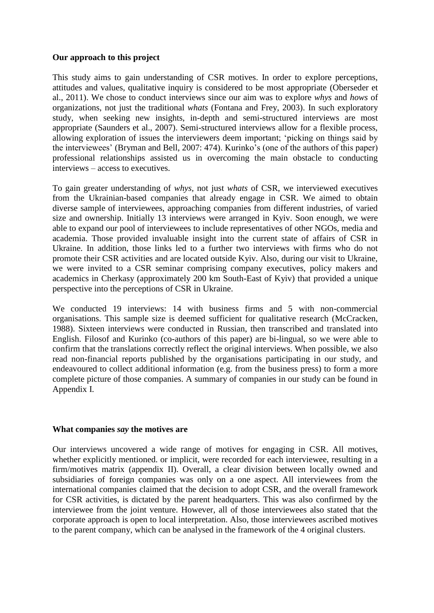# **Our approach to this project**

This study aims to gain understanding of CSR motives. In order to explore perceptions, attitudes and values, qualitative inquiry is considered to be most appropriate (Oberseder et al., 2011). We chose to conduct interviews since our aim was to explore *whys* and *hows* of organizations, not just the traditional *whats* (Fontana and Frey, 2003). In such exploratory study, when seeking new insights, in-depth and semi-structured interviews are most appropriate (Saunders et al., 2007). Semi-structured interviews allow for a flexible process, allowing exploration of issues the interviewers deem important; 'picking on things said by the interviewees' (Bryman and Bell, 2007: 474). Kurinko's (one of the authors of this paper) professional relationships assisted us in overcoming the main obstacle to conducting interviews – access to executives.

To gain greater understanding of *whys,* not just *whats* of CSR, we interviewed executives from the Ukrainian-based companies that already engage in CSR. We aimed to obtain diverse sample of interviewees, approaching companies from different industries, of varied size and ownership. Initially 13 interviews were arranged in Kyiv. Soon enough, we were able to expand our pool of interviewees to include representatives of other NGOs, media and academia. Those provided invaluable insight into the current state of affairs of CSR in Ukraine. In addition, those links led to a further two interviews with firms who do not promote their CSR activities and are located outside Kyiv. Also, during our visit to Ukraine, we were invited to a CSR seminar comprising company executives, policy makers and academics in Cherkasy (approximately 200 km South-East of Kyiv) that provided a unique perspective into the perceptions of CSR in Ukraine.

We conducted 19 interviews: 14 with business firms and 5 with non-commercial organisations. This sample size is deemed sufficient for qualitative research (McCracken, 1988). Sixteen interviews were conducted in Russian, then transcribed and translated into English. Filosof and Kurinko (co-authors of this paper) are bi-lingual, so we were able to confirm that the translations correctly reflect the original interviews. When possible, we also read non-financial reports published by the organisations participating in our study, and endeavoured to collect additional information (e.g. from the business press) to form a more complete picture of those companies. A summary of companies in our study can be found in Appendix I.

## **What companies** *say* **the motives are**

Our interviews uncovered a wide range of motives for engaging in CSR. All motives, whether explicitly mentioned, or implicit, were recorded for each interviewee, resulting in a firm/motives matrix (appendix II). Overall, a clear division between locally owned and subsidiaries of foreign companies was only on a one aspect. All interviewees from the international companies claimed that the decision to adopt CSR, and the overall framework for CSR activities, is dictated by the parent headquarters. This was also confirmed by the interviewee from the joint venture. However, all of those interviewees also stated that the corporate approach is open to local interpretation. Also, those interviewees ascribed motives to the parent company, which can be analysed in the framework of the 4 original clusters.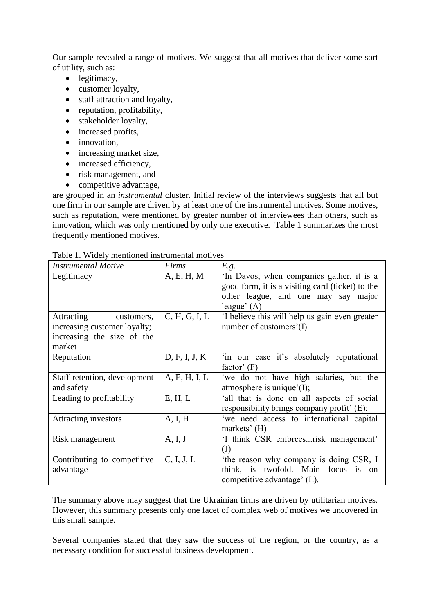Our sample revealed a range of motives. We suggest that all motives that deliver some sort of utility, such as:

- legitimacy,
- customer loyalty,
- staff attraction and loyalty,
- reputation, profitability,
- stakeholder loyalty,
- increased profits,
- innovation,
- increasing market size,
- increased efficiency,
- risk management, and
- competitive advantage,

are grouped in an *instrumental* cluster. Initial review of the interviews suggests that all but one firm in our sample are driven by at least one of the instrumental motives. Some motives, such as reputation, were mentioned by greater number of interviewees than others, such as innovation, which was only mentioned by only one executive. Table 1 summarizes the most frequently mentioned motives.

| <b>Instrumental Motive</b>   | Firms         | E.g.                                             |
|------------------------------|---------------|--------------------------------------------------|
| Legitimacy                   | A, E, H, M    | 'In Davos, when companies gather, it is a        |
|                              |               | good form, it is a visiting card (ticket) to the |
|                              |               | other league, and one may say major              |
|                              |               | league' $(A)$                                    |
| Attracting<br>customers,     | C, H, G, I, L | If believe this will help us gain even greater   |
| increasing customer loyalty; |               | number of customers'(I)                          |
| increasing the size of the   |               |                                                  |
| market                       |               |                                                  |
| Reputation                   | D, F, I, J, K | 'in our case it's absolutely reputational        |
|                              |               | factor' $(F)$                                    |
| Staff retention, development | A, E, H, I, L | 'we do not have high salaries, but the           |
| and safety                   |               | atmosphere is unique $'(I)$ ;                    |
| Leading to profitability     | E, H, L       | 'all that is done on all aspects of social       |
|                              |               | responsibility brings company profit' (E);       |
| <b>Attracting investors</b>  | A, I, H       | 'we need access to international capital         |
|                              |               | markets' $(H)$                                   |
| Risk management              | A, I, J       | 'I think CSR enforcesrisk management'            |
|                              |               | (J)                                              |
| Contributing to competitive  | C, I, J, L    | 'the reason why company is doing CSR, I          |
| advantage                    |               | think, is twofold. Main focus<br>is<br>- on      |
|                              |               | competitive advantage' (L).                      |

Table 1. Widely mentioned instrumental motives

The summary above may suggest that the Ukrainian firms are driven by utilitarian motives. However, this summary presents only one facet of complex web of motives we uncovered in this small sample.

Several companies stated that they saw the success of the region, or the country, as a necessary condition for successful business development.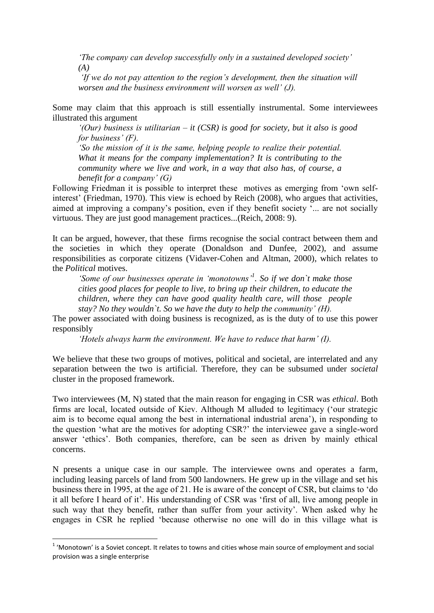*'The company can develop successfully only in a sustained developed society' (A)*

*'If we do not pay attention to the region's development, then the situation will worsen and the business environment will worsen as well' (J).* 

Some may claim that this approach is still essentially instrumental. Some interviewees illustrated this argument

*'(Our) business is utilitarian – it (CSR) is good for society, but it also is good for business' (F).* 

*'So the mission of it is the same, helping people to realize their potential. What it means for the company implementation? It is contributing to the community where we live and work, in a way that also has, of course, a benefit for a company' (G)*

Following Friedman it is possible to interpret these motives as emerging from 'own selfinterest' (Friedman, 1970). This view is echoed by Reich (2008), who argues that activities, aimed at improving a company's position, even if they benefit society '... are not socially virtuous. They are just good management practices...(Reich, 2008: 9).

It can be argued, however, that these firms recognise the social contract between them and the societies in which they operate (Donaldson and Dunfee, 2002), and assume responsibilities as corporate citizens (Vidaver-Cohen and Altman, 2000), which relates to the *Political* motives.

*'Some of our businesses operate in 'monotowns'<sup>1</sup> . So if we don`t make those cities good places for people to live, to bring up their children, to educate the children, where they can have good quality health care, will those people stay? No they wouldn`t. So we have the duty to help the community' (H).* 

The power associated with doing business is recognized, as is the duty of to use this power responsibly

*'Hotels always harm the environment. We have to reduce that harm' (I).* 

We believe that these two groups of motives, political and societal, are interrelated and any separation between the two is artificial. Therefore, they can be subsumed under *societal* cluster in the proposed framework.

Two interviewees (M, N) stated that the main reason for engaging in CSR was *ethical*. Both firms are local, located outside of Kiev. Although M alluded to legitimacy ('our strategic aim is to become equal among the best in international industrial arena'), in responding to the question 'what are the motives for adopting CSR?' the interviewee gave a single-word answer 'ethics'. Both companies, therefore, can be seen as driven by mainly ethical concerns.

N presents a unique case in our sample. The interviewee owns and operates a farm, including leasing parcels of land from 500 landowners. He grew up in the village and set his business there in 1995, at the age of 21. He is aware of the concept of CSR, but claims to 'do it all before I heard of it'. His understanding of CSR was 'first of all, live among people in such way that they benefit, rather than suffer from your activity'. When asked why he engages in CSR he replied 'because otherwise no one will do in this village what is

 1 'Monotown' is a Soviet concept. It relates to towns and cities whose main source of employment and social provision was a single enterprise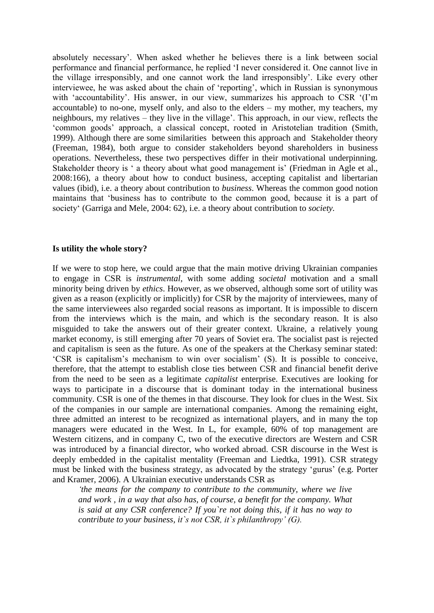absolutely necessary'. When asked whether he believes there is a link between social performance and financial performance, he replied 'I never considered it. One cannot live in the village irresponsibly, and one cannot work the land irresponsibly'. Like every other interviewee, he was asked about the chain of 'reporting', which in Russian is synonymous with 'accountability'. His answer, in our view, summarizes his approach to CSR '(I'm accountable) to no-one, myself only, and also to the elders – my mother, my teachers, my neighbours, my relatives – they live in the village'. This approach, in our view, reflects the 'common goods' approach, a classical concept, rooted in Aristotelian tradition (Smith, 1999). Although there are some similarities between this approach and Stakeholder theory (Freeman, 1984), both argue to consider stakeholders beyond shareholders in business operations. Nevertheless, these two perspectives differ in their motivational underpinning. Stakeholder theory is ' a theory about what good management is' (Friedman in Agle et al., 2008:166), a theory about how to conduct business, accepting capitalist and libertarian values (ibid), i.e. a theory about contribution to *business*. Whereas the common good notion maintains that 'business has to contribute to the common good, because it is a part of society' (Garriga and Mele, 2004: 62), i.e. a theory about contribution to *society.*

#### **Is utility the whole story?**

If we were to stop here, we could argue that the main motive driving Ukrainian companies to engage in CSR is *instrumental*, with some adding *societal* motivation and a small minority being driven by *ethics*. However, as we observed, although some sort of utility was given as a reason (explicitly or implicitly) for CSR by the majority of interviewees, many of the same interviewees also regarded social reasons as important. It is impossible to discern from the interviews which is the main, and which is the secondary reason. It is also misguided to take the answers out of their greater context. Ukraine, a relatively young market economy, is still emerging after 70 years of Soviet era. The socialist past is rejected and capitalism is seen as the future. As one of the speakers at the Cherkasy seminar stated: 'CSR is capitalism's mechanism to win over socialism' (S). It is possible to conceive, therefore, that the attempt to establish close ties between CSR and financial benefit derive from the need to be seen as a legitimate *capitalist* enterprise. Executives are looking for ways to participate in a discourse that is dominant today in the international business community. CSR is one of the themes in that discourse. They look for clues in the West. Six of the companies in our sample are international companies. Among the remaining eight, three admitted an interest to be recognized as international players, and in many the top managers were educated in the West. In L, for example, 60% of top management are Western citizens, and in company C, two of the executive directors are Western and CSR was introduced by a financial director, who worked abroad. CSR discourse in the West is deeply embedded in the capitalist mentality (Freeman and Liedtka, 1991). CSR strategy must be linked with the business strategy, as advocated by the strategy 'gurus' (e.g. Porter and Kramer, 2006). A Ukrainian executive understands CSR as

*'the means for the company to contribute to the community, where we live and work , in a way that also has, of course, a benefit for the company. What is said at any CSR conference? If you`re not doing this, if it has no way to contribute to your business, it`s not CSR, it`s philanthropy' (G).*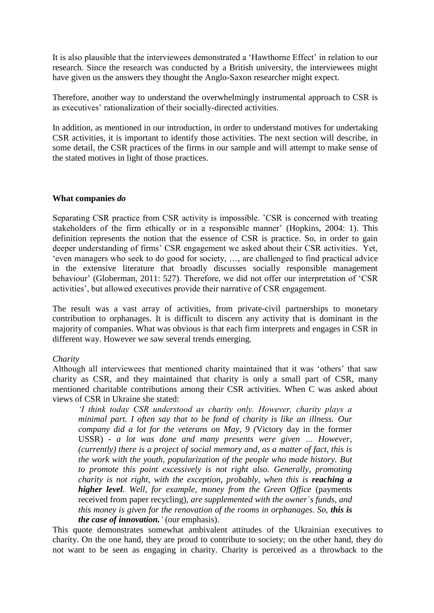It is also plausible that the interviewees demonstrated a 'Hawthorne Effect' in relation to our research. Since the research was conducted by a British university, the interviewees might have given us the answers they thought the Anglo-Saxon researcher might expect.

Therefore, another way to understand the overwhelmingly instrumental approach to CSR is as executives' rationalization of their socially-directed activities.

In addition, as mentioned in our introduction, in order to understand motives for undertaking CSR activities, it is important to identify those activities. The next section will describe, in some detail, the CSR practices of the firms in our sample and will attempt to make sense of the stated motives in light of those practices.

### **What companies** *do*

Separating CSR practice from CSR activity is impossible. 'CSR is concerned with treating stakeholders of the firm ethically or in a responsible manner' (Hopkins, 2004: 1). This definition represents the notion that the essence of CSR is practice. So, in order to gain deeper understanding of firms' CSR engagement we asked about their CSR activities. Yet, 'even managers who seek to do good for society, …, are challenged to find practical advice in the extensive literature that broadly discusses socially responsible management behaviour' (Globerman, 2011: 527). Therefore, we did not offer our interpretation of 'CSR activities', but allowed executives provide their narrative of CSR engagement.

The result was a vast array of activities, from private-civil partnerships to monetary contribution to orphanages. It is difficult to discern any activity that is dominant in the majority of companies. What was obvious is that each firm interprets and engages in CSR in different way. However we saw several trends emerging.

## *Charity*

Although all interviewees that mentioned charity maintained that it was 'others' that saw charity as CSR, and they maintained that charity is only a small part of CSR, many mentioned charitable contributions among their CSR activities. When C was asked about views of CSR in Ukraine she stated:

*'I think today CSR understood as charity only. However, charity plays a minimal part. I often say that to be fond of charity is like an illness. Our company did a lot for the veterans on May, 9 (*Victory day in the former USSR) *- a lot was done and many presents were given … However, (currently) there is a project of social memory and, as a matter of fact, this is the work with the youth, popularization of the people who made history. But to promote this point excessively is not right also. Generally, promoting charity is not right, with the exception, probably, when this is reaching a higher level. Well, for example, money from the Green Office* (payments received from paper recycling)*, are supplemented with the owner`s funds, and this money is given for the renovation of the rooms in orphanages. So, this is the case of innovation.'* (our emphasis).

This quote demonstrates somewhat ambivalent attitudes of the Ukrainian executives to charity. On the one hand, they are proud to contribute to society; on the other hand, they do not want to be seen as engaging in charity. Charity is perceived as a throwback to the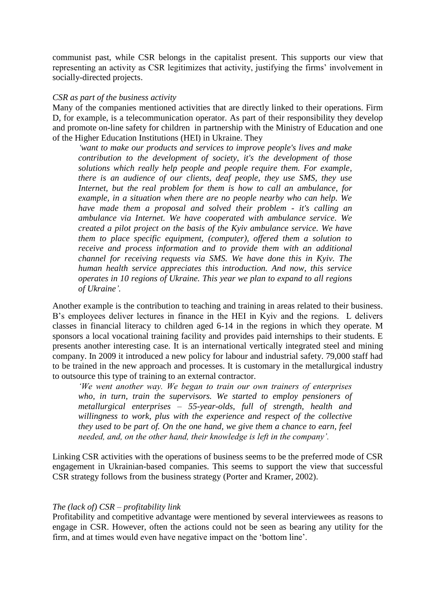communist past, while CSR belongs in the capitalist present. This supports our view that representing an activity as CSR legitimizes that activity, justifying the firms' involvement in socially-directed projects.

### *CSR as part of the business activity*

Many of the companies mentioned activities that are directly linked to their operations. Firm D, for example, is a telecommunication operator. As part of their responsibility they develop and promote on-line safety for children in partnership with the Ministry of Education and one of the Higher Education Institutions (HEI) in Ukraine. They

*'want to make our products and services to improve people's lives and make contribution to the development of society, it's the development of those solutions which really help people and people require them. For example, there is an audience of our clients, deaf people, they use SMS, they use Internet, but the real problem for them is how to call an ambulance, for example, in a situation when there are no people nearby who can help. We have made them a proposal and solved their problem - it's calling an ambulance via Internet. We have cooperated with ambulance service. We created a pilot project on the basis of the Kyiv ambulance service. We have them to place specific equipment, (computer), offered them a solution to receive and process information and to provide them with an additional channel for receiving requests via SMS. We have done this in Kyiv. The human health service appreciates this introduction. And now, this service operates in 10 regions of Ukraine. This year we plan to expand to all regions of Ukraine'.* 

Another example is the contribution to teaching and training in areas related to their business. B's employees deliver lectures in finance in the HEI in Kyiv and the regions. L delivers classes in financial literacy to children aged 6-14 in the regions in which they operate. M sponsors a local vocational training facility and provides paid internships to their students. E presents another interesting case. It is an international vertically integrated steel and mining company. In 2009 it introduced a new policy for labour and industrial safety. 79,000 staff had to be trained in the new approach and processes. It is customary in the metallurgical industry to outsource this type of training to an external contractor.

*'We went another way. We began to train our own trainers of enterprises who, in turn, train the supervisors. We started to employ pensioners of metallurgical enterprises – 55-year-olds, full of strength, health and willingness to work, plus with the experience and respect of the collective they used to be part of. On the one hand, we give them a chance to earn, feel needed, and, on the other hand, their knowledge is left in the company'.* 

Linking CSR activities with the operations of business seems to be the preferred mode of CSR engagement in Ukrainian-based companies. This seems to support the view that successful CSR strategy follows from the business strategy (Porter and Kramer, 2002).

## *The (lack of) CSR – profitability link*

Profitability and competitive advantage were mentioned by several interviewees as reasons to engage in CSR. However, often the actions could not be seen as bearing any utility for the firm, and at times would even have negative impact on the 'bottom line'.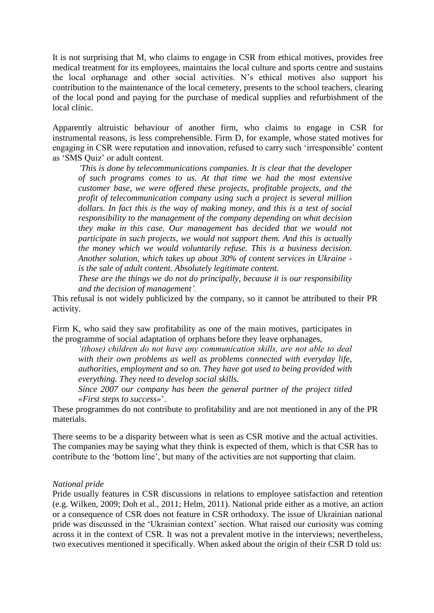It is not surprising that M, who claims to engage in CSR from ethical motives, provides free medical treatment for its employees, maintains the local culture and sports centre and sustains the local orphanage and other social activities. N's ethical motives also support his contribution to the maintenance of the local cemetery, presents to the school teachers, clearing of the local pond and paying for the purchase of medical supplies and refurbishment of the local clinic.

Apparently altruistic behaviour of another firm, who claims to engage in CSR for instrumental reasons, is less comprehensible. Firm D, for example, whose stated motives for engaging in CSR were reputation and innovation, refused to carry such 'irresponsible' content as 'SMS Quiz' or adult content.

*'This is done by telecommunications companies. It is clear that the developer of such programs comes to us. At that time we had the most extensive customer base, we were offered these projects, profitable projects, and the profit of telecommunication company using such a project is several million dollars. In fact this is the way of making money, and this is a test of social responsibility to the management of the company depending on what decision they make in this case. Our management has decided that we would not participate in such projects, we would not support them. And this is actually the money which we would voluntarily refuse. This is a business decision. Another solution, which takes up about 30% of content services in Ukraine is the sale of adult content. Absolutely legitimate content.* 

*These are the things we do not do principally, because it is our responsibility and the decision of management'.*

This refusal is not widely publicized by the company, so it cannot be attributed to their PR activity.

Firm K, who said they saw profitability as one of the main motives, participates in the programme of social adaptation of orphans before they leave orphanages,

*'(those) children do not have any communication skills, are not able to deal with their own problems as well as problems connected with everyday life, authorities, employment and so on. They have got used to being provided with everything. They need to develop social skills.* 

*Since 2007 our company has been the general partner of the project titled «First steps to success»*'.

These programmes do not contribute to profitability and are not mentioned in any of the PR materials.

There seems to be a disparity between what is seen as CSR motive and the actual activities. The companies may be saying what they think is expected of them, which is that CSR has to contribute to the 'bottom line', but many of the activities are not supporting that claim.

### *National pride*

Pride usually features in CSR discussions in relations to employee satisfaction and retention (e.g. Wilken, 2009; Doh et al., 2011; Helm, 2011). National pride either as a motive, an action or a consequence of CSR does not feature in CSR orthodoxy. The issue of Ukrainian national pride was discussed in the 'Ukrainian context' section. What raised our curiosity was coming across it in the context of CSR. It was not a prevalent motive in the interviews; nevertheless, two executives mentioned it specifically. When asked about the origin of their CSR D told us: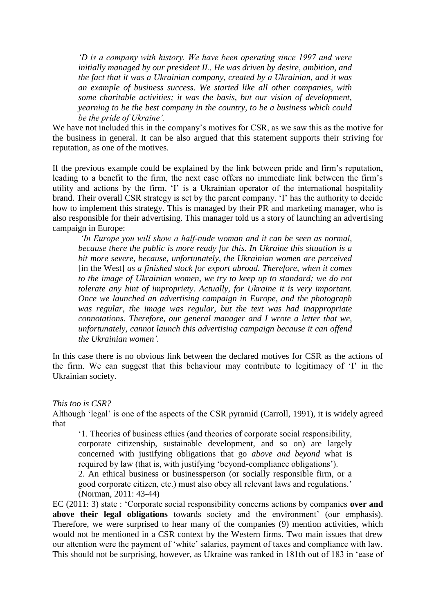*'D is a company with history. We have been operating since 1997 and were initially managed by our president IL. He was driven by desire, ambition, and the fact that it was a Ukrainian company, created by a Ukrainian, and it was an example of business success. We started like all other companies, with some charitable activities; it was the basis, but our vision of development, yearning to be the best company in the country, to be a business which could be the pride of Ukraine'.* 

We have not included this in the company's motives for CSR, as we saw this as the motive for the business in general. It can be also argued that this statement supports their striving for reputation, as one of the motives.

If the previous example could be explained by the link between pride and firm's reputation, leading to a benefit to the firm, the next case offers no immediate link between the firm's utility and actions by the firm. 'I' is a Ukrainian operator of the international hospitality brand. Their overall CSR strategy is set by the parent company. 'I' has the authority to decide how to implement this strategy. This is managed by their PR and marketing manager, who is also responsible for their advertising. This manager told us a story of launching an advertising campaign in Europe:

*'In Europe you will show a half-nude woman and it can be seen as normal, because there the public is more ready for this. In Ukraine this situation is a bit more severe, because, unfortunately, the Ukrainian women are perceived*  [in the West] *as a finished stock for export abroad. Therefore, when it comes to the image of Ukrainian women, we try to keep up to standard; we do not tolerate any hint of impropriety. Actually, for Ukraine it is very important. Once we launched an advertising campaign in Europe, and the photograph was regular, the image was regular, but the text was had inappropriate connotations. Therefore, our general manager and I wrote a letter that we, unfortunately, cannot launch this advertising campaign because it can offend the Ukrainian women'.*

In this case there is no obvious link between the declared motives for CSR as the actions of the firm. We can suggest that this behaviour may contribute to legitimacy of 'I' in the Ukrainian society.

*This too is CSR?*

Although 'legal' is one of the aspects of the CSR pyramid (Carroll, 1991), it is widely agreed that

'1. Theories of business ethics (and theories of corporate social responsibility, corporate citizenship, sustainable development, and so on) are largely concerned with justifying obligations that go *above and beyond* what is required by law (that is, with justifying 'beyond-compliance obligations'). 2. An ethical business or businessperson (or socially responsible firm, or a good corporate citizen, etc.) must also obey all relevant laws and regulations.' (Norman, 2011: 43-44)

EC (2011: 3) state : 'Corporate social responsibility concerns actions by companies **over and above their legal obligations** towards society and the environment' (our emphasis). Therefore, we were surprised to hear many of the companies (9) mention activities, which would not be mentioned in a CSR context by the Western firms. Two main issues that drew our attention were the payment of 'white' salaries, payment of taxes and compliance with law. This should not be surprising, however, as Ukraine was ranked in 181th out of 183 in 'ease of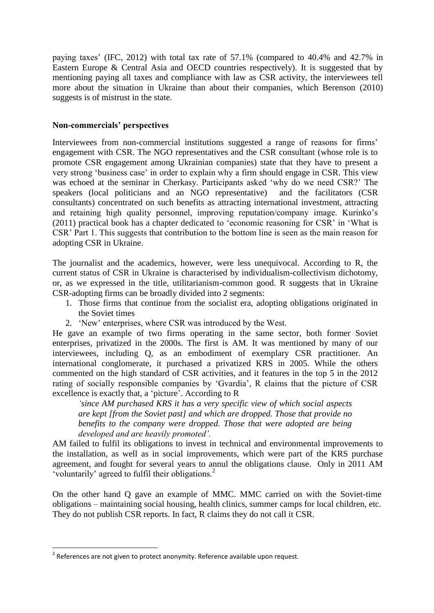paying taxes' (IFC, 2012) with total tax rate of 57.1% (compared to 40.4% and 42.7% in Eastern Europe & Central Asia and OECD countries respectively). It is suggested that by mentioning paying all taxes and compliance with law as CSR activity, the interviewees tell more about the situation in Ukraine than about their companies, which Berenson (2010) suggests is of mistrust in the state.

# **Non-commercials' perspectives**

Interviewees from non-commercial institutions suggested a range of reasons for firms' engagement with CSR. The NGO representatives and the CSR consultant (whose role is to promote CSR engagement among Ukrainian companies) state that they have to present a very strong 'business case' in order to explain why a firm should engage in CSR. This view was echoed at the seminar in Cherkasy. Participants asked 'why do we need CSR?' The speakers (local politicians and an NGO representative) and the facilitators (CSR consultants) concentrated on such benefits as attracting international investment, attracting and retaining high quality personnel, improving reputation/company image. Kurinko's (2011) practical book has a chapter dedicated to 'economic reasoning for CSR' in 'What is CSR' Part 1. This suggests that contribution to the bottom line is seen as the main reason for adopting CSR in Ukraine.

The journalist and the academics, however, were less unequivocal. According to R, the current status of CSR in Ukraine is characterised by individualism-collectivism dichotomy, or, as we expressed in the title, utilitarianism-common good. R suggests that in Ukraine CSR-adopting firms can be broadly divided into 2 segments:

- 1. Those firms that continue from the socialist era, adopting obligations originated in the Soviet times
- 2. 'New' enterprises, where CSR was introduced by the West.

He gave an example of two firms operating in the same sector, both former Soviet enterprises, privatized in the 2000s. The first is AM. It was mentioned by many of our interviewees, including Q, as an embodiment of exemplary CSR practitioner. An international conglomerate, it purchased a privatized KRS in 2005. While the others commented on the high standard of CSR activities, and it features in the top 5 in the 2012 rating of socially responsible companies by 'Gvardia', R claims that the picture of CSR excellence is exactly that, a 'picture'. According to R

*'since AM purchased KRS it has a very specific view of which social aspects are kept [from the Soviet past] and which are dropped. Those that provide no benefits to the company were dropped. Those that were adopted are being developed and are heavily promoted'.*

AM failed to fulfil its obligations to invest in technical and environmental improvements to the installation, as well as in social improvements, which were part of the KRS purchase agreement, and fought for several years to annul the obligations clause. Only in 2011 AM 'voluntarily' agreed to fulfil their obligations.<sup>2</sup>

On the other hand Q gave an example of MMC. MMC carried on with the Soviet-time obligations – maintaining social housing, health clinics, summer camps for local children, etc. They do not publish CSR reports. In fact, R claims they do not call it CSR.

**.** 

 $2$  References are not given to protect anonymity. Reference available upon request.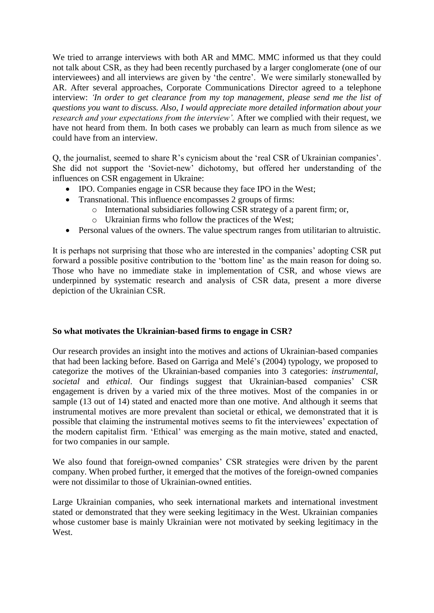We tried to arrange interviews with both AR and MMC. MMC informed us that they could not talk about CSR, as they had been recently purchased by a larger conglomerate (one of our interviewees) and all interviews are given by 'the centre'. We were similarly stonewalled by AR. After several approaches, Corporate Communications Director agreed to a telephone interview: *'In order to get clearance from my top management, please send me the list of questions you want to discuss. Also, I would appreciate more detailed information about your research and your expectations from the interview'.* After we complied with their request, we have not heard from them. In both cases we probably can learn as much from silence as we could have from an interview.

Q, the journalist, seemed to share R's cynicism about the 'real CSR of Ukrainian companies'. She did not support the 'Soviet-new' dichotomy, but offered her understanding of the influences on CSR engagement in Ukraine:

- IPO. Companies engage in CSR because they face IPO in the West;
- Transnational. This influence encompasses 2 groups of firms:
	- o International subsidiaries following CSR strategy of a parent firm; or,
	- o Ukrainian firms who follow the practices of the West;
- Personal values of the owners. The value spectrum ranges from utilitarian to altruistic.

It is perhaps not surprising that those who are interested in the companies' adopting CSR put forward a possible positive contribution to the 'bottom line' as the main reason for doing so. Those who have no immediate stake in implementation of CSR, and whose views are underpinned by systematic research and analysis of CSR data, present a more diverse depiction of the Ukrainian CSR.

## **So what motivates the Ukrainian-based firms to engage in CSR?**

Our research provides an insight into the motives and actions of Ukrainian-based companies that had been lacking before. Based on Garriga and Melé's (2004) typology, we proposed to categorize the motives of the Ukrainian-based companies into 3 categories: *instrumental, societal* and *ethical*. Our findings suggest that Ukrainian-based companies' CSR engagement is driven by a varied mix of the three motives. Most of the companies in or sample (13 out of 14) stated and enacted more than one motive. And although it seems that instrumental motives are more prevalent than societal or ethical, we demonstrated that it is possible that claiming the instrumental motives seems to fit the interviewees' expectation of the modern capitalist firm. 'Ethical' was emerging as the main motive, stated and enacted, for two companies in our sample.

We also found that foreign-owned companies' CSR strategies were driven by the parent company. When probed further, it emerged that the motives of the foreign-owned companies were not dissimilar to those of Ukrainian-owned entities.

Large Ukrainian companies, who seek international markets and international investment stated or demonstrated that they were seeking legitimacy in the West. Ukrainian companies whose customer base is mainly Ukrainian were not motivated by seeking legitimacy in the West.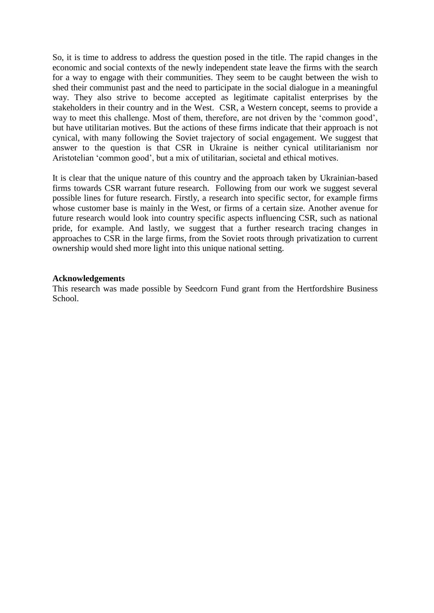So, it is time to address to address the question posed in the title. The rapid changes in the economic and social contexts of the newly independent state leave the firms with the search for a way to engage with their communities. They seem to be caught between the wish to shed their communist past and the need to participate in the social dialogue in a meaningful way. They also strive to become accepted as legitimate capitalist enterprises by the stakeholders in their country and in the West. CSR, a Western concept, seems to provide a way to meet this challenge. Most of them, therefore, are not driven by the 'common good', but have utilitarian motives. But the actions of these firms indicate that their approach is not cynical, with many following the Soviet trajectory of social engagement. We suggest that answer to the question is that CSR in Ukraine is neither cynical utilitarianism nor Aristotelian 'common good', but a mix of utilitarian, societal and ethical motives.

It is clear that the unique nature of this country and the approach taken by Ukrainian-based firms towards CSR warrant future research. Following from our work we suggest several possible lines for future research. Firstly, a research into specific sector, for example firms whose customer base is mainly in the West, or firms of a certain size. Another avenue for future research would look into country specific aspects influencing CSR, such as national pride, for example. And lastly, we suggest that a further research tracing changes in approaches to CSR in the large firms, from the Soviet roots through privatization to current ownership would shed more light into this unique national setting.

### **Acknowledgements**

This research was made possible by Seedcorn Fund grant from the Hertfordshire Business School.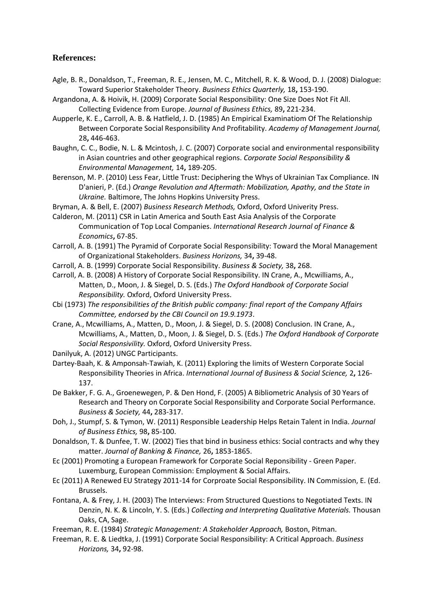# **References:**

- Agle, B. R., Donaldson, T., Freeman, R. E., Jensen, M. C., Mitchell, R. K. & Wood, D. J. (2008) Dialogue: Toward Superior Stakeholder Theory. *Business Ethics Quarterly,* 18**,** 153-190.
- Argandona, A. & Hoivik, H. (2009) Corporate Social Responsibility: One Size Does Not Fit All. Collecting Evidence from Europe. *Journal of Business Ethics,* 89**,** 221-234.
- Aupperle, K. E., Carroll, A. B. & Hatfield, J. D. (1985) An Empirical Examinatiom Of The Relationship Between Corporate Social Responsibility And Profitability. *Academy of Management Journal,* 28**,** 446-463.
- Baughn, C. C., Bodie, N. L. & Mcintosh, J. C. (2007) Corporate social and environmental responsibility in Asian countries and other geographical regions. *Corporate Social Responsibility & Environmental Management,* 14**,** 189-205.
- Berenson, M. P. (2010) Less Fear, Little Trust: Deciphering the Whys of Ukrainian Tax Compliance. IN D'anieri, P. (Ed.) *Orange Revolution and Aftermath: Mobilization, Apathy, and the State in Ukraine.* Baltimore, The Johns Hopkins University Press.
- Bryman, A. & Bell, E. (2007) *Business Research Methods,* Oxford, Oxford Univerity Press.
- Calderon, M. (2011) CSR in Latin America and South East Asia Analysis of the Corporate Communication of Top Local Companies. *International Research Journal of Finance & Economics***,** 67-85.
- Carroll, A. B. (1991) The Pyramid of Corporate Social Responsibility: Toward the Moral Management of Organizational Stakeholders. *Business Horizons,* 34**,** 39-48.
- Carroll, A. B. (1999) Corporate Social Responsibility. *Business & Society,* 38**,** 268.
- Carroll, A. B. (2008) A History of Corporate Social Responsibility. IN Crane, A., Mcwilliams, A., Matten, D., Moon, J. & Siegel, D. S. (Eds.) *The Oxford Handbook of Corporate Social Responsibility.* Oxford, Oxford University Press.
- Cbi (1973) *The responsibilities of the British public company: final report of the Company Affairs Committee, endorsed by the CBI Council on 19.9.1973*.
- Crane, A., Mcwilliams, A., Matten, D., Moon, J. & Siegel, D. S. (2008) Conclusion. IN Crane, A., Mcwilliams, A., Matten, D., Moon, J. & Siegel, D. S. (Eds.) *The Oxford Handbook of Corporate Social Responsivility.* Oxford, Oxford University Press.
- Danilyuk, A. (2012) UNGC Participants.
- Dartey-Baah, K. & Amponsah-Tawiah, K. (2011) Exploring the limits of Western Corporate Social Responsibility Theories in Africa. *International Journal of Business & Social Science,* 2**,** 126- 137.
- De Bakker, F. G. A., Groenewegen, P. & Den Hond, F. (2005) A Bibliometric Analysis of 30 Years of Research and Theory on Corporate Social Responsibility and Corporate Social Performance. *Business & Society,* 44**,** 283-317.
- Doh, J., Stumpf, S. & Tymon, W. (2011) Responsible Leadership Helps Retain Talent in India. *Journal of Business Ethics,* 98**,** 85-100.
- Donaldson, T. & Dunfee, T. W. (2002) Ties that bind in business ethics: Social contracts and why they matter. *Journal of Banking & Finance,* 26**,** 1853-1865.
- Ec (2001) Promoting a European Framework for Corporate Social Reponsibility Green Paper. Luxemburg, European Commission: Employment & Social Affairs.
- Ec (2011) A Renewed EU Strategy 2011-14 for Corproate Social Responsibility. IN Commission, E. (Ed. Brussels.
- Fontana, A. & Frey, J. H. (2003) The Interviews: From Structured Questions to Negotiated Texts. IN Denzin, N. K. & Lincoln, Y. S. (Eds.) *Collecting and Interpreting Qualitative Materials.* Thousan Oaks, CA, Sage.
- Freeman, R. E. (1984) *Strategic Management: A Stakeholder Approach,* Boston, Pitman.
- Freeman, R. E. & Liedtka, J. (1991) Corporate Social Responsibility: A Critical Approach. *Business Horizons,* 34**,** 92-98.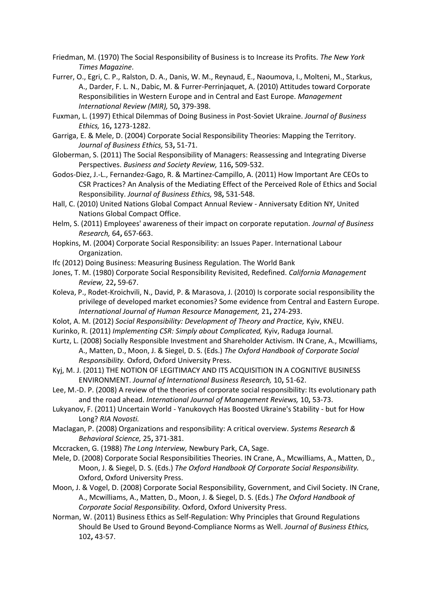- Friedman, M. (1970) The Social Responsibility of Business is to Increase its Profits. *The New York Times Magazine*.
- Furrer, O., Egri, C. P., Ralston, D. A., Danis, W. M., Reynaud, E., Naoumova, I., Molteni, M., Starkus, A., Darder, F. L. N., Dabic, M. & Furrer-Perrinjaquet, A. (2010) Attitudes toward Corporate Responsibilities in Western Europe and in Central and East Europe. *Management International Review (MIR),* 50**,** 379-398.
- Fuxman, L. (1997) Ethical Dilemmas of Doing Business in Post-Soviet Ukraine. *Journal of Business Ethics,* 16**,** 1273-1282.
- Garriga, E. & Mele, D. (2004) Corporate Social Responsibility Theories: Mapping the Territory. *Journal of Business Ethics,* 53**,** 51-71.
- Globerman, S. (2011) The Social Responsibility of Managers: Reassessing and Integrating Diverse Perspectives. *Business and Society Review,* 116**,** 509-532.
- Godos-Diez, J.-L., Fernandez-Gago, R. & Martinez-Campillo, A. (2011) How Important Are CEOs to CSR Practices? An Analysis of the Mediating Effect of the Perceived Role of Ethics and Social Responsibility. *Journal of Business Ethics,* 98**,** 531-548.
- Hall, C. (2010) United Nations Global Compact Annual Review Anniversaty Edition NY, United Nations Global Compact Office.
- Helm, S. (2011) Employees' awareness of their impact on corporate reputation. *Journal of Business Research,* 64**,** 657-663.
- Hopkins, M. (2004) Corporate Social Responsibility: an Issues Paper. International Labour Organization.
- Ifc (2012) Doing Business: Measuring Business Regulation. The World Bank
- Jones, T. M. (1980) Corporate Social Responsibility Revisited, Redefined. *California Management Review,* 22**,** 59-67.
- Koleva, P., Rodet-Kroichvili, N., David, P. & Marasova, J. (2010) Is corporate social responsibility the privilege of developed market economies? Some evidence from Central and Eastern Europe. *International Journal of Human Resource Management,* 21**,** 274-293.
- Kolot, A. M. (2012) *Social Responsibility: Development of Theory and Practice,* Kyiv, KNEU.
- Kurinko, R. (2011) *Implementing CSR: Simply about Complicated,* Kyiv, Raduga Journal.
- Kurtz, L. (2008) Socially Responsible Investment and Shareholder Activism. IN Crane, A., Mcwilliams, A., Matten, D., Moon, J. & Siegel, D. S. (Eds.) *The Oxford Handbook of Corporate Social Responsibility.* Oxford, Oxford University Press.
- Kyj, M. J. (2011) THE NOTION OF LEGITIMACY AND ITS ACQUISITION IN A COGNITIVE BUSINESS ENVIRONMENT. *Journal of International Business Research,* 10**,** 51-62.
- Lee, M.-D. P. (2008) A review of the theories of corporate social responsibility: Its evolutionary path and the road ahead. *International Journal of Management Reviews,* 10**,** 53-73.
- Lukyanov, F. (2011) Uncertain World Yanukovych Has Boosted Ukraine's Stability but for How Long? *RIA Novosti.*
- Maclagan, P. (2008) Organizations and responsibility: A critical overview. *Systems Research & Behavioral Science,* 25**,** 371-381.
- Mccracken, G. (1988) *The Long Interview,* Newbury Park, CA, Sage.
- Mele, D. (2008) Corporate Social Responsibilities Theories. IN Crane, A., Mcwilliams, A., Matten, D., Moon, J. & Siegel, D. S. (Eds.) *The Oxford Handbook Of Corporate Social Responsibility.* Oxford, Oxford University Press.
- Moon, J. & Vogel, D. (2008) Corporate Social Responsibility, Government, and Civil Society. IN Crane, A., Mcwilliams, A., Matten, D., Moon, J. & Siegel, D. S. (Eds.) *The Oxford Handbook of Corporate Social Responsibility.* Oxford, Oxford University Press.
- Norman, W. (2011) Business Ethics as Self-Regulation: Why Principles that Ground Regulations Should Be Used to Ground Beyond-Compliance Norms as Well. *Journal of Business Ethics,* 102**,** 43-57.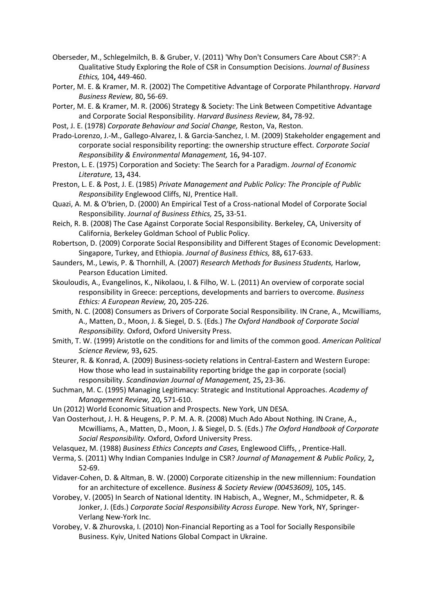- Oberseder, M., Schlegelmilch, B. & Gruber, V. (2011) 'Why Don't Consumers Care About CSR?': A Qualitative Study Exploring the Role of CSR in Consumption Decisions. *Journal of Business Ethics,* 104**,** 449-460.
- Porter, M. E. & Kramer, M. R. (2002) The Competitive Advantage of Corporate Philanthropy. *Harvard Business Review,* 80**,** 56-69.
- Porter, M. E. & Kramer, M. R. (2006) Strategy & Society: The Link Between Competitive Advantage and Corporate Social Responsibility. *Harvard Business Review,* 84**,** 78-92.
- Post, J. E. (1978) *Corporate Behaviour and Social Change,* Reston, Va, Reston.
- Prado-Lorenzo, J.-M., Gallego-Alvarez, I. & Garcia-Sanchez, I. M. (2009) Stakeholder engagement and corporate social responsibility reporting: the ownership structure effect. *Corporate Social Responsibility & Environmental Management,* 16**,** 94-107.
- Preston, L. E. (1975) Corporation and Society: The Search for a Paradigm. *Journal of Economic Literature,* 13**,** 434.
- Preston, L. E. & Post, J. E. (1985) *Private Management and Public Policy: The Pronciple of Public Responsibility* Englewood Cliffs, NJ, Prentice Hall.
- Quazi, A. M. & O'brien, D. (2000) An Empirical Test of a Cross-national Model of Corporate Social Responsibility. *Journal of Business Ethics,* 25**,** 33-51.
- Reich, R. B. (2008) The Case Against Corporate Social Responsibility. Berkeley, CA, University of California, Berkeley Goldman School of Public Policy.
- Robertson, D. (2009) Corporate Social Responsibility and Different Stages of Economic Development: Singapore, Turkey, and Ethiopia. *Journal of Business Ethics,* 88**,** 617-633.
- Saunders, M., Lewis, P. & Thornhill, A. (2007) *Research Methods for Business Students,* Harlow, Pearson Education Limited.
- Skouloudis, A., Evangelinos, K., Nikolaou, I. & Filho, W. L. (2011) An overview of corporate social responsibility in Greece: perceptions, developments and barriers to overcome. *Business Ethics: A European Review,* 20**,** 205-226.
- Smith, N. C. (2008) Consumers as Drivers of Corporate Social Responsibility. IN Crane, A., Mcwilliams, A., Matten, D., Moon, J. & Siegel, D. S. (Eds.) *The Oxford Handbook of Corporate Social Responsibility.* Oxford, Oxford University Press.
- Smith, T. W. (1999) Aristotle on the conditions for and limits of the common good. *American Political Science Review,* 93**,** 625.
- Steurer, R. & Konrad, A. (2009) Business-society relations in Central-Eastern and Western Europe: How those who lead in sustainability reporting bridge the gap in corporate (social) responsibility. *Scandinavian Journal of Management,* 25**,** 23-36.
- Suchman, M. C. (1995) Managing Legitimacy: Strategic and Institutional Approaches. *Academy of Management Review,* 20**,** 571-610.
- Un (2012) World Economic Situation and Prospects. New York, UN DESA.
- Van Oosterhout, J. H. & Heugens, P. P. M. A. R. (2008) Much Ado About Nothing. IN Crane, A., Mcwilliams, A., Matten, D., Moon, J. & Siegel, D. S. (Eds.) *The Oxford Handbook of Corporate Social Responsibility.* Oxford, Oxford University Press.
- Velasquez, M. (1988) *Business Ethics Concepts and Cases,* Englewood Cliffs, , Prentice-Hall.
- Verma, S. (2011) Why Indian Companies Indulge in CSR? *Journal of Management & Public Policy,* 2**,** 52-69.
- Vidaver-Cohen, D. & Altman, B. W. (2000) Corporate citizenship in the new millennium: Foundation for an architecture of excellence. *Business & Society Review (00453609),* 105**,** 145.
- Vorobey, V. (2005) In Search of National Identity. IN Habisch, A., Wegner, M., Schmidpeter, R. & Jonker, J. (Eds.) *Corporate Social Responsibility Across Europe.* New York, NY, Springer-Verlang New-York Inc.
- Vorobey, V. & Zhurovska, I. (2010) Non-Financial Reporting as a Tool for Socially Responsibile Business. Kyiv, United Nations Global Compact in Ukraine.